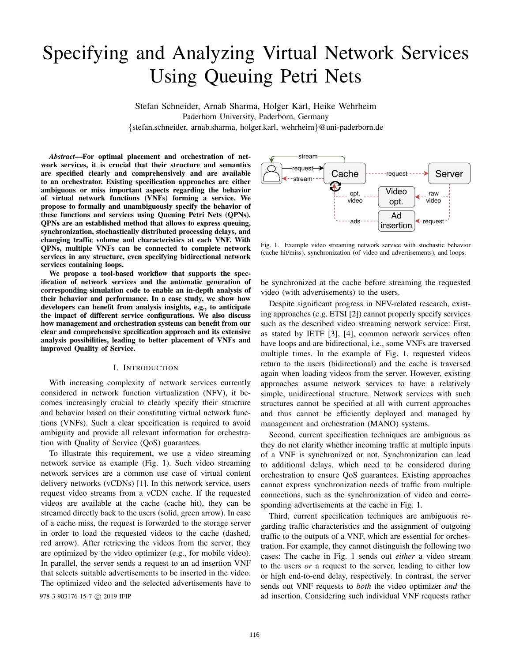# Specifying and Analyzing Virtual Network Services Using Queuing Petri Nets

Stefan Schneider, Arnab Sharma, Holger Karl, Heike Wehrheim Paderborn University, Paderborn, Germany {stefan.schneider, arnab.sharma, holger.karl, wehrheim}@uni-paderborn.de

*Abstract*—For optimal placement and orchestration of network services, it is crucial that their structure and semantics are specified clearly and comprehensively and are available to an orchestrator. Existing specification approaches are either ambiguous or miss important aspects regarding the behavior of virtual network functions (VNFs) forming a service. We propose to formally and unambiguously specify the behavior of these functions and services using Queuing Petri Nets (QPNs). QPNs are an established method that allows to express queuing, synchronization, stochastically distributed processing delays, and changing traffic volume and characteristics at each VNF. With QPNs, multiple VNFs can be connected to complete network services in any structure, even specifying bidirectional network services containing loops.

We propose a tool-based workflow that supports the specification of network services and the automatic generation of corresponding simulation code to enable an in-depth analysis of their behavior and performance. In a case study, we show how developers can benefit from analysis insights, e.g., to anticipate the impact of different service configurations. We also discuss how management and orchestration systems can benefit from our clear and comprehensive specification approach and its extensive analysis possibilities, leading to better placement of VNFs and improved Quality of Service.

## I. INTRODUCTION

With increasing complexity of network services currently considered in network function virtualization (NFV), it becomes increasingly crucial to clearly specify their structure and behavior based on their constituting virtual network functions (VNFs). Such a clear specification is required to avoid ambiguity and provide all relevant information for orchestration with Quality of Service (QoS) guarantees.

To illustrate this requirement, we use a video streaming network service as example (Fig. 1). Such video streaming network services are a common use case of virtual content delivery networks (vCDNs) [1]. In this network service, users request video streams from a vCDN cache. If the requested videos are available at the cache (cache hit), they can be streamed directly back to the users (solid, green arrow). In case of a cache miss, the request is forwarded to the storage server in order to load the requested videos to the cache (dashed, red arrow). After retrieving the videos from the server, they are optimized by the video optimizer (e.g., for mobile video). In parallel, the server sends a request to an ad insertion VNF that selects suitable advertisements to be inserted in the video. The optimized video and the selected advertisements have to

Cache | ------request -----> Server Video opt. Ad insertion request  $\leftarrow$  request request opt. video stream stream raw video ads

Fig. 1. Example video streaming network service with stochastic behavior (cache hit/miss), synchronization (of video and advertisements), and loops.

be synchronized at the cache before streaming the requested video (with advertisements) to the users.

Despite significant progress in NFV-related research, existing approaches (e.g. ETSI [2]) cannot properly specify services such as the described video streaming network service: First, as stated by IETF [3], [4], common network services often have loops and are bidirectional, i.e., some VNFs are traversed multiple times. In the example of Fig. 1, requested videos return to the users (bidirectional) and the cache is traversed again when loading videos from the server. However, existing approaches assume network services to have a relatively simple, unidirectional structure. Network services with such structures cannot be specified at all with current approaches and thus cannot be efficiently deployed and managed by management and orchestration (MANO) systems.

Second, current specification techniques are ambiguous as they do not clarify whether incoming traffic at multiple inputs of a VNF is synchronized or not. Synchronization can lead to additional delays, which need to be considered during orchestration to ensure QoS guarantees. Existing approaches cannot express synchronization needs of traffic from multiple connections, such as the synchronization of video and corresponding advertisements at the cache in Fig. 1.

Third, current specification techniques are ambiguous regarding traffic characteristics and the assignment of outgoing traffic to the outputs of a VNF, which are essential for orchestration. For example, they cannot distinguish the following two cases: The cache in Fig. 1 sends out *either* a video stream to the users *or* a request to the server, leading to either low or high end-to-end delay, respectively. In contrast, the server sends out VNF requests to *both* the video optimizer *and* the 978-3-903176-15-7 © 2019 IFIP ad insertion. Considering such individual VNF requests rather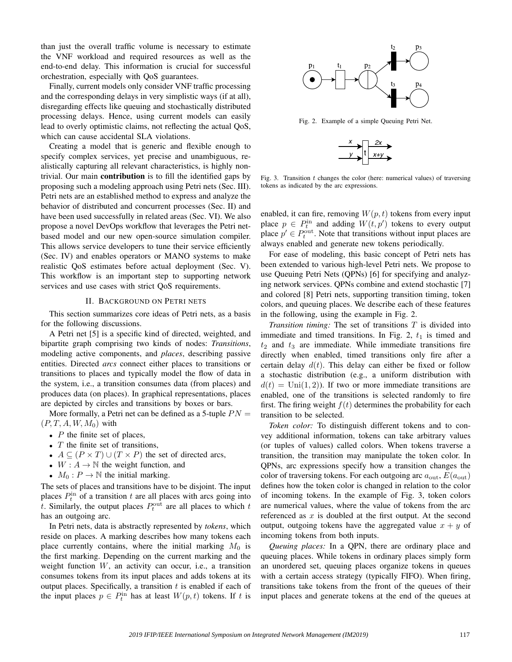than just the overall traffic volume is necessary to estimate the VNF workload and required resources as well as the end-to-end delay. This information is crucial for successful orchestration, especially with QoS guarantees.

Finally, current models only consider VNF traffic processing and the corresponding delays in very simplistic ways (if at all), disregarding effects like queuing and stochastically distributed processing delays. Hence, using current models can easily lead to overly optimistic claims, not reflecting the actual QoS, which can cause accidental SLA violations.

Creating a model that is generic and flexible enough to specify complex services, yet precise and unambiguous, realistically capturing all relevant characteristics, is highly nontrivial. Our main contribution is to fill the identified gaps by proposing such a modeling approach using Petri nets (Sec. III). Petri nets are an established method to express and analyze the behavior of distributed and concurrent processes (Sec. II) and have been used successfully in related areas (Sec. VI). We also propose a novel DevOps workflow that leverages the Petri netbased model and our new open-source simulation compiler. This allows service developers to tune their service efficiently (Sec. IV) and enables operators or MANO systems to make realistic QoS estimates before actual deployment (Sec. V). This workflow is an important step to supporting network services and use cases with strict QoS requirements.

#### II. BACKGROUND ON PETRI NETS

This section summarizes core ideas of Petri nets, as a basis for the following discussions.

A Petri net [5] is a specific kind of directed, weighted, and bipartite graph comprising two kinds of nodes: *Transitions*, modeling active components, and *places*, describing passive entities. Directed *arcs* connect either places to transitions or transitions to places and typically model the flow of data in the system, i.e., a transition consumes data (from places) and produces data (on places). In graphical representations, places are depicted by circles and transitions by boxes or bars.

More formally, a Petri net can be defined as a 5-tuple  $PN =$  $(P, T, A, W, M_0)$  with

- $P$  the finite set of places,
- $T$  the finite set of transitions,
- $A \subseteq (P \times T) \cup (T \times P)$  the set of directed arcs,
- $W: A \rightarrow \mathbb{N}$  the weight function, and
- $M_0: P \to \mathbb{N}$  the initial marking.

The sets of places and transitions have to be disjoint. The input places  $P_t^{\text{in}}$  of a transition t are all places with arcs going into t. Similarly, the output places  $P_t^{\text{out}}$  are all places to which t has an outgoing arc.

In Petri nets, data is abstractly represented by *tokens*, which reside on places. A marking describes how many tokens each place currently contains, where the initial marking  $M_0$  is the first marking. Depending on the current marking and the weight function  $W$ , an activity can occur, i.e., a transition consumes tokens from its input places and adds tokens at its output places. Specifically, a transition  $t$  is enabled if each of the input places  $p \in P_t^{\text{in}}$  has at least  $W(p, t)$  tokens. If t is



Fig. 2. Example of a simple Queuing Petri Net.



Fig. 3. Transition  $t$  changes the color (here: numerical values) of traversing tokens as indicated by the arc expressions.

enabled, it can fire, removing  $W(p, t)$  tokens from every input place  $p \in P_t^{\text{in}}$  and adding  $W(t, p')$  tokens to every output place  $p' \in P_t^{\text{out}}$ . Note that transitions without input places are always enabled and generate new tokens periodically.

For ease of modeling, this basic concept of Petri nets has been extended to various high-level Petri nets. We propose to use Queuing Petri Nets (QPNs) [6] for specifying and analyzing network services. QPNs combine and extend stochastic [7] and colored [8] Petri nets, supporting transition timing, token colors, and queuing places. We describe each of these features in the following, using the example in Fig. 2.

*Transition timing:* The set of transitions T is divided into immediate and timed transitions. In Fig. 2,  $t_1$  is timed and  $t_2$  and  $t_3$  are immediate. While immediate transitions fire directly when enabled, timed transitions only fire after a certain delay  $d(t)$ . This delay can either be fixed or follow a stochastic distribution (e.g., a uniform distribution with  $d(t) = \text{Uni}(1, 2)$ . If two or more immediate transitions are enabled, one of the transitions is selected randomly to fire first. The firing weight  $f(t)$  determines the probability for each transition to be selected.

*Token color:* To distinguish different tokens and to convey additional information, tokens can take arbitrary values (or tuples of values) called colors. When tokens traverse a transition, the transition may manipulate the token color. In QPNs, arc expressions specify how a transition changes the color of traversing tokens. For each outgoing arc  $a_{\text{out}}$ ,  $E(a_{\text{out}})$ defines how the token color is changed in relation to the color of incoming tokens. In the example of Fig. 3, token colors are numerical values, where the value of tokens from the arc referenced as  $x$  is doubled at the first output. At the second output, outgoing tokens have the aggregated value  $x + y$  of incoming tokens from both inputs.

*Queuing places:* In a QPN, there are ordinary place and queuing places. While tokens in ordinary places simply form an unordered set, queuing places organize tokens in queues with a certain access strategy (typically FIFO). When firing, transitions take tokens from the front of the queues of their input places and generate tokens at the end of the queues at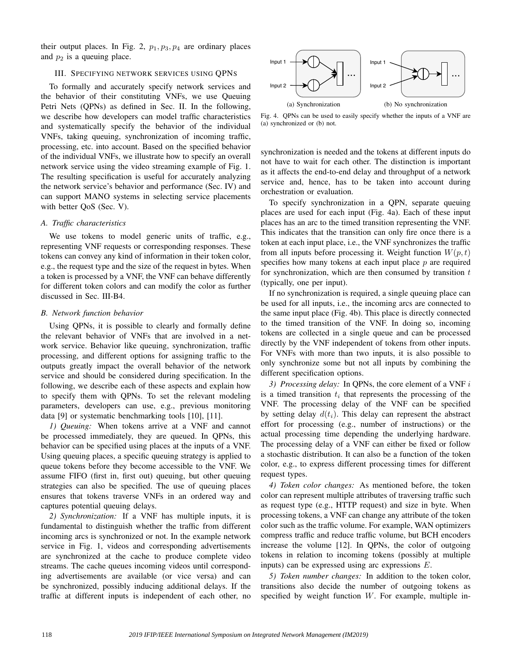their output places. In Fig. 2,  $p_1$ ,  $p_3$ ,  $p_4$  are ordinary places and  $p_2$  is a queuing place.

## III. SPECIFYING NETWORK SERVICES USING QPNS

To formally and accurately specify network services and the behavior of their constituting VNFs, we use Queuing Petri Nets (QPNs) as defined in Sec. II. In the following, we describe how developers can model traffic characteristics and systematically specify the behavior of the individual VNFs, taking queuing, synchronization of incoming traffic, processing, etc. into account. Based on the specified behavior of the individual VNFs, we illustrate how to specify an overall network service using the video streaming example of Fig. 1. The resulting specification is useful for accurately analyzing the network service's behavior and performance (Sec. IV) and can support MANO systems in selecting service placements with better QoS (Sec. V).

## *A. Traffic characteristics*

We use tokens to model generic units of traffic, e.g., representing VNF requests or corresponding responses. These tokens can convey any kind of information in their token color, e.g., the request type and the size of the request in bytes. When a token is processed by a VNF, the VNF can behave differently for different token colors and can modify the color as further discussed in Sec. III-B4.

#### *B. Network function behavior*

Using QPNs, it is possible to clearly and formally define the relevant behavior of VNFs that are involved in a network service. Behavior like queuing, synchronization, traffic processing, and different options for assigning traffic to the outputs greatly impact the overall behavior of the network service and should be considered during specification. In the following, we describe each of these aspects and explain how to specify them with QPNs. To set the relevant modeling parameters, developers can use, e.g., previous monitoring data [9] or systematic benchmarking tools [10], [11].

*1) Queuing:* When tokens arrive at a VNF and cannot be processed immediately, they are queued. In QPNs, this behavior can be specified using places at the inputs of a VNF. Using queuing places, a specific queuing strategy is applied to queue tokens before they become accessible to the VNF. We assume FIFO (first in, first out) queuing, but other queuing strategies can also be specified. The use of queuing places ensures that tokens traverse VNFs in an ordered way and captures potential queuing delays.

*2) Synchronization:* If a VNF has multiple inputs, it is fundamental to distinguish whether the traffic from different incoming arcs is synchronized or not. In the example network service in Fig. 1, videos and corresponding advertisements are synchronized at the cache to produce complete video streams. The cache queues incoming videos until corresponding advertisements are available (or vice versa) and can be synchronized, possibly inducing additional delays. If the traffic at different inputs is independent of each other, no



Fig. 4. QPNs can be used to easily specify whether the inputs of a VNF are (a) synchronized or (b) not.

synchronization is needed and the tokens at different inputs do not have to wait for each other. The distinction is important as it affects the end-to-end delay and throughput of a network service and, hence, has to be taken into account during orchestration or evaluation.

To specify synchronization in a QPN, separate queuing places are used for each input (Fig. 4a). Each of these input places has an arc to the timed transition representing the VNF. This indicates that the transition can only fire once there is a token at each input place, i.e., the VNF synchronizes the traffic from all inputs before processing it. Weight function  $W(p, t)$ specifies how many tokens at each input place  $p$  are required for synchronization, which are then consumed by transition  $t$ (typically, one per input).

If no synchronization is required, a single queuing place can be used for all inputs, i.e., the incoming arcs are connected to the same input place (Fig. 4b). This place is directly connected to the timed transition of the VNF. In doing so, incoming tokens are collected in a single queue and can be processed directly by the VNF independent of tokens from other inputs. For VNFs with more than two inputs, it is also possible to only synchronize some but not all inputs by combining the different specification options.

*3) Processing delay:* In QPNs, the core element of a VNF i is a timed transition  $t_i$  that represents the processing of the VNF. The processing delay of the VNF can be specified by setting delay  $d(t_i)$ . This delay can represent the abstract effort for processing (e.g., number of instructions) or the actual processing time depending the underlying hardware. The processing delay of a VNF can either be fixed or follow a stochastic distribution. It can also be a function of the token color, e.g., to express different processing times for different request types.

*4) Token color changes:* As mentioned before, the token color can represent multiple attributes of traversing traffic such as request type (e.g., HTTP request) and size in byte. When processing tokens, a VNF can change any attribute of the token color such as the traffic volume. For example, WAN optimizers compress traffic and reduce traffic volume, but BCH encoders increase the volume [12]. In QPNs, the color of outgoing tokens in relation to incoming tokens (possibly at multiple inputs) can be expressed using arc expressions E.

*5) Token number changes:* In addition to the token color, transitions also decide the number of outgoing tokens as specified by weight function  $W$ . For example, multiple in-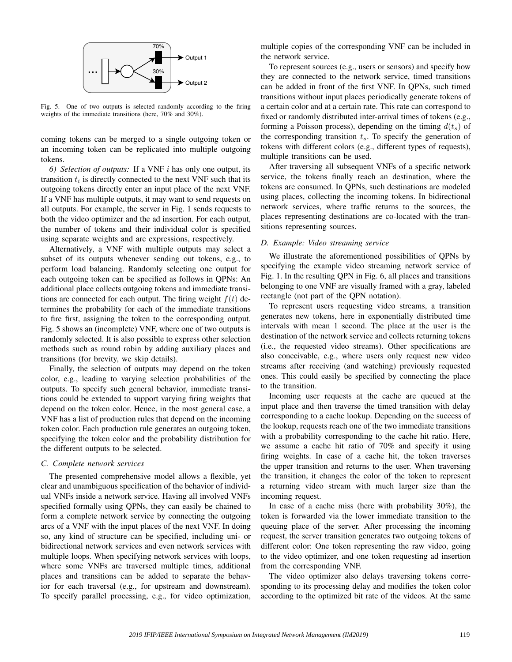

Fig. 5. One of two outputs is selected randomly according to the firing weights of the immediate transitions (here, 70% and 30%).

coming tokens can be merged to a single outgoing token or an incoming token can be replicated into multiple outgoing tokens.

*6) Selection of outputs:* If a VNF i has only one output, its transition  $t_i$  is directly connected to the next VNF such that its outgoing tokens directly enter an input place of the next VNF. If a VNF has multiple outputs, it may want to send requests on all outputs. For example, the server in Fig. 1 sends requests to both the video optimizer and the ad insertion. For each output, the number of tokens and their individual color is specified using separate weights and arc expressions, respectively.

Alternatively, a VNF with multiple outputs may select a subset of its outputs whenever sending out tokens, e.g., to perform load balancing. Randomly selecting one output for each outgoing token can be specified as follows in QPNs: An additional place collects outgoing tokens and immediate transitions are connected for each output. The firing weight  $f(t)$  determines the probability for each of the immediate transitions to fire first, assigning the token to the corresponding output. Fig. 5 shows an (incomplete) VNF, where one of two outputs is randomly selected. It is also possible to express other selection methods such as round robin by adding auxiliary places and transitions (for brevity, we skip details).

Finally, the selection of outputs may depend on the token color, e.g., leading to varying selection probabilities of the outputs. To specify such general behavior, immediate transitions could be extended to support varying firing weights that depend on the token color. Hence, in the most general case, a VNF has a list of production rules that depend on the incoming token color. Each production rule generates an outgoing token, specifying the token color and the probability distribution for the different outputs to be selected.

## *C. Complete network services*

The presented comprehensive model allows a flexible, yet clear and unambiguous specification of the behavior of individual VNFs inside a network service. Having all involved VNFs specified formally using QPNs, they can easily be chained to form a complete network service by connecting the outgoing arcs of a VNF with the input places of the next VNF. In doing so, any kind of structure can be specified, including uni- or bidirectional network services and even network services with multiple loops. When specifying network services with loops, where some VNFs are traversed multiple times, additional places and transitions can be added to separate the behavior for each traversal (e.g., for upstream and downstream). To specify parallel processing, e.g., for video optimization,

multiple copies of the corresponding VNF can be included in the network service.

To represent sources (e.g., users or sensors) and specify how they are connected to the network service, timed transitions can be added in front of the first VNF. In QPNs, such timed transitions without input places periodically generate tokens of a certain color and at a certain rate. This rate can correspond to fixed or randomly distributed inter-arrival times of tokens (e.g., forming a Poisson process), depending on the timing  $d(t<sub>s</sub>)$  of the corresponding transition  $t_s$ . To specify the generation of tokens with different colors (e.g., different types of requests), multiple transitions can be used.

After traversing all subsequent VNFs of a specific network service, the tokens finally reach an destination, where the tokens are consumed. In QPNs, such destinations are modeled using places, collecting the incoming tokens. In bidirectional network services, where traffic returns to the sources, the places representing destinations are co-located with the transitions representing sources.

## *D. Example: Video streaming service*

We illustrate the aforementioned possibilities of QPNs by specifying the example video streaming network service of Fig. 1. In the resulting QPN in Fig. 6, all places and transitions belonging to one VNF are visually framed with a gray, labeled rectangle (not part of the QPN notation).

To represent users requesting video streams, a transition generates new tokens, here in exponentially distributed time intervals with mean 1 second. The place at the user is the destination of the network service and collects returning tokens (i.e., the requested video streams). Other specifications are also conceivable, e.g., where users only request new video streams after receiving (and watching) previously requested ones. This could easily be specified by connecting the place to the transition.

Incoming user requests at the cache are queued at the input place and then traverse the timed transition with delay corresponding to a cache lookup. Depending on the success of the lookup, requests reach one of the two immediate transitions with a probability corresponding to the cache hit ratio. Here, we assume a cache hit ratio of 70% and specify it using firing weights. In case of a cache hit, the token traverses the upper transition and returns to the user. When traversing the transition, it changes the color of the token to represent a returning video stream with much larger size than the incoming request.

In case of a cache miss (here with probability 30%), the token is forwarded via the lower immediate transition to the queuing place of the server. After processing the incoming request, the server transition generates two outgoing tokens of different color: One token representing the raw video, going to the video optimizer, and one token requesting ad insertion from the corresponding VNF.

The video optimizer also delays traversing tokens corresponding to its processing delay and modifies the token color according to the optimized bit rate of the videos. At the same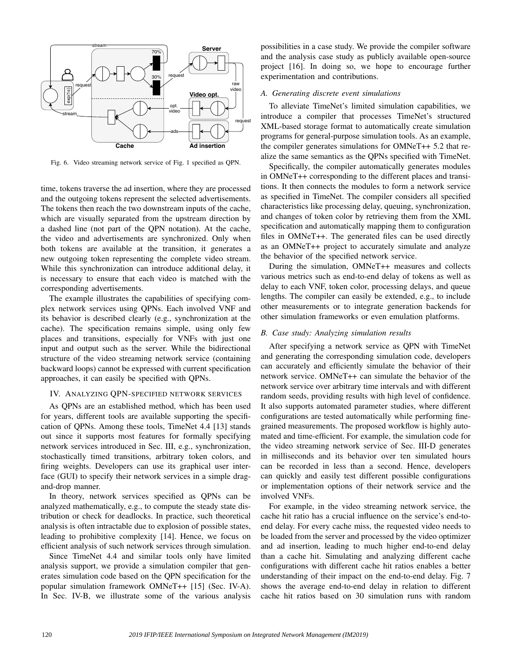

Fig. 6. Video streaming network service of Fig. 1 specified as QPN.

time, tokens traverse the ad insertion, where they are processed and the outgoing tokens represent the selected advertisements. The tokens then reach the two downstream inputs of the cache, which are visually separated from the upstream direction by a dashed line (not part of the QPN notation). At the cache, the video and advertisements are synchronized. Only when both tokens are available at the transition, it generates a new outgoing token representing the complete video stream. While this synchronization can introduce additional delay, it is necessary to ensure that each video is matched with the corresponding advertisements.

The example illustrates the capabilities of specifying complex network services using QPNs. Each involved VNF and its behavior is described clearly (e.g., synchronization at the cache). The specification remains simple, using only few places and transitions, especially for VNFs with just one input and output such as the server. While the bidirectional structure of the video streaming network service (containing backward loops) cannot be expressed with current specification approaches, it can easily be specified with QPNs.

## IV. ANALYZING QPN-SPECIFIED NETWORK SERVICES

As QPNs are an established method, which has been used for years, different tools are available supporting the specification of QPNs. Among these tools, TimeNet 4.4 [13] stands out since it supports most features for formally specifying network services introduced in Sec. III, e.g., synchronization, stochastically timed transitions, arbitrary token colors, and firing weights. Developers can use its graphical user interface (GUI) to specify their network services in a simple dragand-drop manner.

In theory, network services specified as QPNs can be analyzed mathematically, e.g., to compute the steady state distribution or check for deadlocks. In practice, such theoretical analysis is often intractable due to explosion of possible states, leading to prohibitive complexity [14]. Hence, we focus on efficient analysis of such network services through simulation.

Since TimeNet 4.4 and similar tools only have limited analysis support, we provide a simulation compiler that generates simulation code based on the QPN specification for the popular simulation framework OMNeT++ [15] (Sec. IV-A). In Sec. IV-B, we illustrate some of the various analysis possibilities in a case study. We provide the compiler software and the analysis case study as publicly available open-source project [16]. In doing so, we hope to encourage further experimentation and contributions.

## *A. Generating discrete event simulations*

To alleviate TimeNet's limited simulation capabilities, we introduce a compiler that processes TimeNet's structured XML-based storage format to automatically create simulation programs for general-purpose simulation tools. As an example, the compiler generates simulations for OMNeT++ 5.2 that realize the same semantics as the QPNs specified with TimeNet.

Specifically, the compiler automatically generates modules in OMNeT++ corresponding to the different places and transitions. It then connects the modules to form a network service as specified in TimeNet. The compiler considers all specified characteristics like processing delay, queuing, synchronization, and changes of token color by retrieving them from the XML specification and automatically mapping them to configuration files in OMNeT++. The generated files can be used directly as an OMNeT++ project to accurately simulate and analyze the behavior of the specified network service.

During the simulation, OMNeT++ measures and collects various metrics such as end-to-end delay of tokens as well as delay to each VNF, token color, processing delays, and queue lengths. The compiler can easily be extended, e.g., to include other measurements or to integrate generation backends for other simulation frameworks or even emulation platforms.

## *B. Case study: Analyzing simulation results*

After specifying a network service as QPN with TimeNet and generating the corresponding simulation code, developers can accurately and efficiently simulate the behavior of their network service. OMNeT++ can simulate the behavior of the network service over arbitrary time intervals and with different random seeds, providing results with high level of confidence. It also supports automated parameter studies, where different configurations are tested automatically while performing finegrained measurements. The proposed workflow is highly automated and time-efficient. For example, the simulation code for the video streaming network service of Sec. III-D generates in milliseconds and its behavior over ten simulated hours can be recorded in less than a second. Hence, developers can quickly and easily test different possible configurations or implementation options of their network service and the involved VNFs.

For example, in the video streaming network service, the cache hit ratio has a crucial influence on the service's end-toend delay. For every cache miss, the requested video needs to be loaded from the server and processed by the video optimizer and ad insertion, leading to much higher end-to-end delay than a cache hit. Simulating and analyzing different cache configurations with different cache hit ratios enables a better understanding of their impact on the end-to-end delay. Fig. 7 shows the average end-to-end delay in relation to different cache hit ratios based on 30 simulation runs with random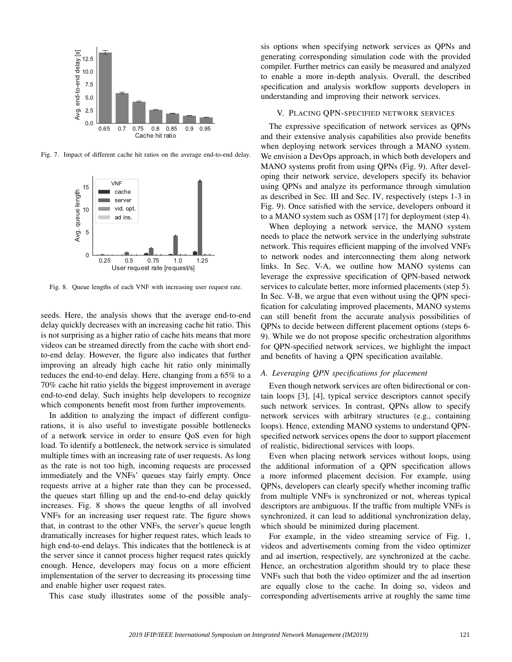

Fig. 7. Impact of different cache hit ratios on the average end-to-end delay.



Fig. 8. Queue lengths of each VNF with increasing user request rate.

seeds. Here, the analysis shows that the average end-to-end delay quickly decreases with an increasing cache hit ratio. This is not surprising as a higher ratio of cache hits means that more videos can be streamed directly from the cache with short endto-end delay. However, the figure also indicates that further improving an already high cache hit ratio only minimally reduces the end-to-end delay. Here, changing from a 65% to a 70% cache hit ratio yields the biggest improvement in average end-to-end delay. Such insights help developers to recognize which components benefit most from further improvements.

In addition to analyzing the impact of different configurations, it is also useful to investigate possible bottlenecks of a network service in order to ensure QoS even for high load. To identify a bottleneck, the network service is simulated multiple times with an increasing rate of user requests. As long as the rate is not too high, incoming requests are processed immediately and the VNFs' queues stay fairly empty. Once requests arrive at a higher rate than they can be processed, the queues start filling up and the end-to-end delay quickly increases. Fig. 8 shows the queue lengths of all involved VNFs for an increasing user request rate. The figure shows that, in contrast to the other VNFs, the server's queue length dramatically increases for higher request rates, which leads to high end-to-end delays. This indicates that the bottleneck is at the server since it cannot process higher request rates quickly enough. Hence, developers may focus on a more efficient implementation of the server to decreasing its processing time and enable higher user request rates.

This case study illustrates some of the possible analy-

sis options when specifying network services as QPNs and generating corresponding simulation code with the provided compiler. Further metrics can easily be measured and analyzed to enable a more in-depth analysis. Overall, the described specification and analysis workflow supports developers in understanding and improving their network services.

### V. PLACING QPN-SPECIFIED NETWORK SERVICES

The expressive specification of network services as QPNs and their extensive analysis capabilities also provide benefits when deploying network services through a MANO system. We envision a DevOps approach, in which both developers and MANO systems profit from using QPNs (Fig. 9). After developing their network service, developers specify its behavior using QPNs and analyze its performance through simulation as described in Sec. III and Sec. IV, respectively (steps 1-3 in Fig. 9). Once satisfied with the service, developers onboard it to a MANO system such as OSM [17] for deployment (step 4).

When deploying a network service, the MANO system needs to place the network service in the underlying substrate network. This requires efficient mapping of the involved VNFs to network nodes and interconnecting them along network links. In Sec. V-A, we outline how MANO systems can leverage the expressive specification of QPN-based network services to calculate better, more informed placements (step 5). In Sec. V-B, we argue that even without using the QPN specification for calculating improved placements, MANO systems can still benefit from the accurate analysis possibilities of QPNs to decide between different placement options (steps 6- 9). While we do not propose specific orchestration algorithms for QPN-specified network services, we highlight the impact and benefits of having a QPN specification available.

## *A. Leveraging QPN specifications for placement*

Even though network services are often bidirectional or contain loops [3], [4], typical service descriptors cannot specify such network services. In contrast, QPNs allow to specify network services with arbitrary structures (e.g., containing loops). Hence, extending MANO systems to understand QPNspecified network services opens the door to support placement of realistic, bidirectional services with loops.

Even when placing network services without loops, using the additional information of a QPN specification allows a more informed placement decision. For example, using QPNs, developers can clearly specify whether incoming traffic from multiple VNFs is synchronized or not, whereas typical descriptors are ambiguous. If the traffic from multiple VNFs is synchronized, it can lead to additional synchronization delay, which should be minimized during placement.

For example, in the video streaming service of Fig. 1, videos and advertisements coming from the video optimizer and ad insertion, respectively, are synchronized at the cache. Hence, an orchestration algorithm should try to place these VNFs such that both the video optimizer and the ad insertion are equally close to the cache. In doing so, videos and corresponding advertisements arrive at roughly the same time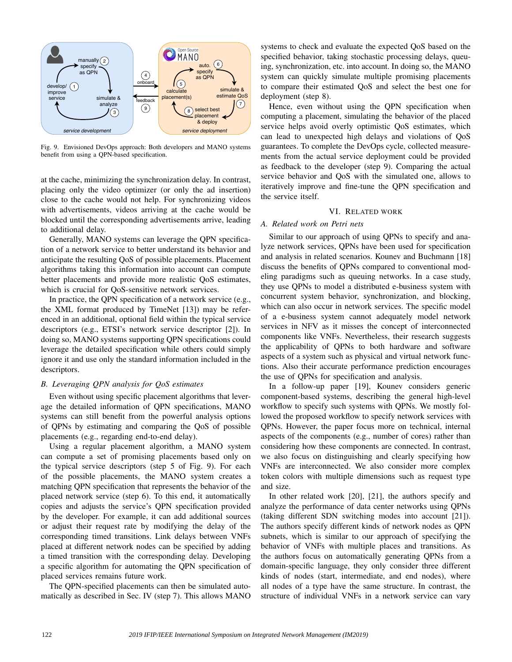

Fig. 9. Envisioned DevOps approach: Both developers and MANO systems benefit from using a QPN-based specification.

at the cache, minimizing the synchronization delay. In contrast, placing only the video optimizer (or only the ad insertion) close to the cache would not help. For synchronizing videos with advertisements, videos arriving at the cache would be blocked until the corresponding advertisements arrive, leading to additional delay.

Generally, MANO systems can leverage the QPN specification of a network service to better understand its behavior and anticipate the resulting QoS of possible placements. Placement algorithms taking this information into account can compute better placements and provide more realistic QoS estimates, which is crucial for QoS-sensitive network services.

In practice, the QPN specification of a network service (e.g., the XML format produced by TimeNet [13]) may be referenced in an additional, optional field within the typical service descriptors (e.g., ETSI's network service descriptor [2]). In doing so, MANO systems supporting QPN specifications could leverage the detailed specification while others could simply ignore it and use only the standard information included in the descriptors.

## *B. Leveraging QPN analysis for QoS estimates*

Even without using specific placement algorithms that leverage the detailed information of QPN specifications, MANO systems can still benefit from the powerful analysis options of QPNs by estimating and comparing the QoS of possible placements (e.g., regarding end-to-end delay).

Using a regular placement algorithm, a MANO system can compute a set of promising placements based only on the typical service descriptors (step 5 of Fig. 9). For each of the possible placements, the MANO system creates a matching QPN specification that represents the behavior of the placed network service (step 6). To this end, it automatically copies and adjusts the service's QPN specification provided by the developer. For example, it can add additional sources or adjust their request rate by modifying the delay of the corresponding timed transitions. Link delays between VNFs placed at different network nodes can be specified by adding a timed transition with the corresponding delay. Developing a specific algorithm for automating the QPN specification of placed services remains future work.

The QPN-specified placements can then be simulated automatically as described in Sec. IV (step 7). This allows MANO

systems to check and evaluate the expected QoS based on the specified behavior, taking stochastic processing delays, queuing, synchronization, etc. into account. In doing so, the MANO system can quickly simulate multiple promising placements to compare their estimated QoS and select the best one for deployment (step 8).

Hence, even without using the QPN specification when computing a placement, simulating the behavior of the placed service helps avoid overly optimistic QoS estimates, which can lead to unexpected high delays and violations of QoS guarantees. To complete the DevOps cycle, collected measurements from the actual service deployment could be provided as feedback to the developer (step 9). Comparing the actual service behavior and QoS with the simulated one, allows to iteratively improve and fine-tune the QPN specification and the service itself.

## VI. RELATED WORK

## *A. Related work on Petri nets*

Similar to our approach of using QPNs to specify and analyze network services, QPNs have been used for specification and analysis in related scenarios. Kounev and Buchmann [18] discuss the benefits of QPNs compared to conventional modeling paradigms such as queuing networks. In a case study, they use QPNs to model a distributed e-business system with concurrent system behavior, synchronization, and blocking, which can also occur in network services. The specific model of a e-business system cannot adequately model network services in NFV as it misses the concept of interconnected components like VNFs. Nevertheless, their research suggests the applicability of QPNs to both hardware and software aspects of a system such as physical and virtual network functions. Also their accurate performance prediction encourages the use of QPNs for specification and analysis.

In a follow-up paper [19], Kounev considers generic component-based systems, describing the general high-level workflow to specify such systems with QPNs. We mostly followed the proposed workflow to specify network services with QPNs. However, the paper focus more on technical, internal aspects of the components (e.g., number of cores) rather than considering how these components are connected. In contrast, we also focus on distinguishing and clearly specifying how VNFs are interconnected. We also consider more complex token colors with multiple dimensions such as request type and size.

In other related work [20], [21], the authors specify and analyze the performance of data center networks using QPNs (taking different SDN switching modes into account [21]). The authors specify different kinds of network nodes as QPN subnets, which is similar to our approach of specifying the behavior of VNFs with multiple places and transitions. As the authors focus on automatically generating QPNs from a domain-specific language, they only consider three different kinds of nodes (start, intermediate, and end nodes), where all nodes of a type have the same structure. In contrast, the structure of individual VNFs in a network service can vary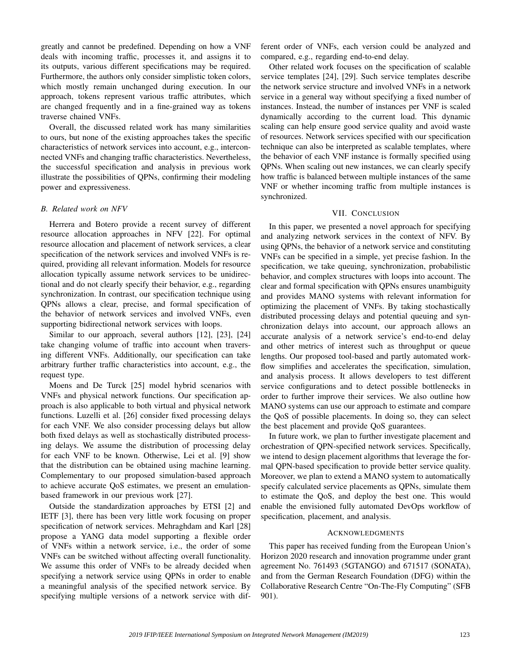greatly and cannot be predefined. Depending on how a VNF deals with incoming traffic, processes it, and assigns it to its outputs, various different specifications may be required. Furthermore, the authors only consider simplistic token colors, which mostly remain unchanged during execution. In our approach, tokens represent various traffic attributes, which are changed frequently and in a fine-grained way as tokens traverse chained VNFs.

Overall, the discussed related work has many similarities to ours, but none of the existing approaches takes the specific characteristics of network services into account, e.g., interconnected VNFs and changing traffic characteristics. Nevertheless, the successful specification and analysis in previous work illustrate the possibilities of QPNs, confirming their modeling power and expressiveness.

#### *B. Related work on NFV*

Herrera and Botero provide a recent survey of different resource allocation approaches in NFV [22]. For optimal resource allocation and placement of network services, a clear specification of the network services and involved VNFs is required, providing all relevant information. Models for resource allocation typically assume network services to be unidirectional and do not clearly specify their behavior, e.g., regarding synchronization. In contrast, our specification technique using QPNs allows a clear, precise, and formal specification of the behavior of network services and involved VNFs, even supporting bidirectional network services with loops.

Similar to our approach, several authors [12], [23], [24] take changing volume of traffic into account when traversing different VNFs. Additionally, our specification can take arbitrary further traffic characteristics into account, e.g., the request type.

Moens and De Turck [25] model hybrid scenarios with VNFs and physical network functions. Our specification approach is also applicable to both virtual and physical network functions. Luzelli et al. [26] consider fixed processing delays for each VNF. We also consider processing delays but allow both fixed delays as well as stochastically distributed processing delays. We assume the distribution of processing delay for each VNF to be known. Otherwise, Lei et al. [9] show that the distribution can be obtained using machine learning. Complementary to our proposed simulation-based approach to achieve accurate QoS estimates, we present an emulationbased framework in our previous work [27].

Outside the standardization approaches by ETSI [2] and IETF [3], there has been very little work focusing on proper specification of network services. Mehraghdam and Karl [28] propose a YANG data model supporting a flexible order of VNFs within a network service, i.e., the order of some VNFs can be switched without affecting overall functionality. We assume this order of VNFs to be already decided when specifying a network service using QPNs in order to enable a meaningful analysis of the specified network service. By specifying multiple versions of a network service with different order of VNFs, each version could be analyzed and compared, e.g., regarding end-to-end delay.

Other related work focuses on the specification of scalable service templates [24], [29]. Such service templates describe the network service structure and involved VNFs in a network service in a general way without specifying a fixed number of instances. Instead, the number of instances per VNF is scaled dynamically according to the current load. This dynamic scaling can help ensure good service quality and avoid waste of resources. Network services specified with our specification technique can also be interpreted as scalable templates, where the behavior of each VNF instance is formally specified using QPNs. When scaling out new instances, we can clearly specify how traffic is balanced between multiple instances of the same VNF or whether incoming traffic from multiple instances is synchronized.

#### VII. CONCLUSION

In this paper, we presented a novel approach for specifying and analyzing network services in the context of NFV. By using QPNs, the behavior of a network service and constituting VNFs can be specified in a simple, yet precise fashion. In the specification, we take queuing, synchronization, probabilistic behavior, and complex structures with loops into account. The clear and formal specification with QPNs ensures unambiguity and provides MANO systems with relevant information for optimizing the placement of VNFs. By taking stochastically distributed processing delays and potential queuing and synchronization delays into account, our approach allows an accurate analysis of a network service's end-to-end delay and other metrics of interest such as throughput or queue lengths. Our proposed tool-based and partly automated workflow simplifies and accelerates the specification, simulation, and analysis process. It allows developers to test different service configurations and to detect possible bottlenecks in order to further improve their services. We also outline how MANO systems can use our approach to estimate and compare the QoS of possible placements. In doing so, they can select the best placement and provide QoS guarantees.

In future work, we plan to further investigate placement and orchestration of QPN-specified network services. Specifically, we intend to design placement algorithms that leverage the formal QPN-based specification to provide better service quality. Moreover, we plan to extend a MANO system to automatically specify calculated service placements as QPNs, simulate them to estimate the QoS, and deploy the best one. This would enable the envisioned fully automated DevOps workflow of specification, placement, and analysis.

## ACKNOWLEDGMENTS

This paper has received funding from the European Union's Horizon 2020 research and innovation programme under grant agreement No. 761493 (5GTANGO) and 671517 (SONATA), and from the German Research Foundation (DFG) within the Collaborative Research Centre "On-The-Fly Computing" (SFB 901).